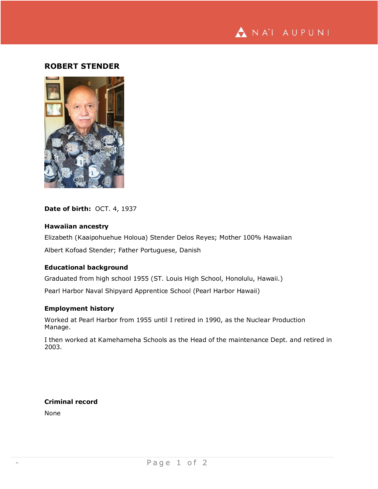

# **ROBERT STENDER**



**Date of birth:** OCT. 4, 1937

## **Hawaiian ancestry**

Elizabeth (Kaaipohuehue Holoua) Stender Delos Reyes; Mother 100% Hawaiian Albert Kofoad Stender; Father Portuguese, Danish

#### **Educational background**

Graduated from high school 1955 (ST. Louis High School, Honolulu, Hawaii.)

Pearl Harbor Naval Shipyard Apprentice School (Pearl Harbor Hawaii)

### **Employment history**

Worked at Pearl Harbor from 1955 until I retired in 1990, as the Nuclear Production Manage.

I then worked at Kamehameha Schools as the Head of the maintenance Dept. and retired in 2003.

**Criminal record** None